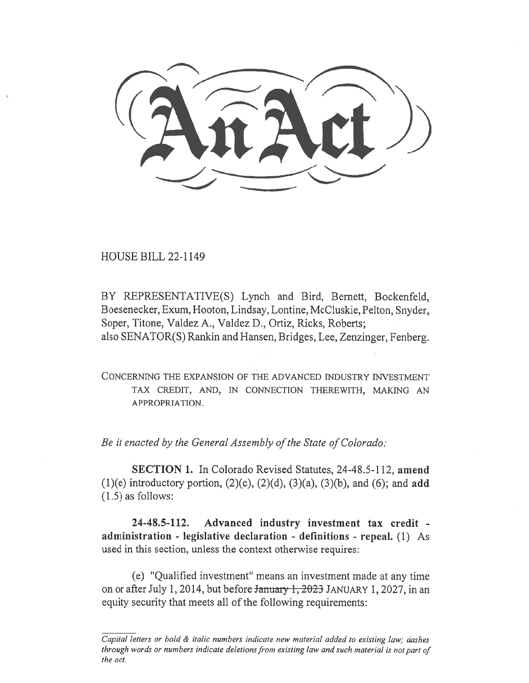HOUSE BILL 22-1149

BY REPRESENTATIVE(S) Lynch and Bird, Bernett, Bockenfeld, Boesenecker, Exum, Hooton, Lindsay, Lontine, McCluskie, Pelton, Snyder, Soper, Titone, Valdez A., Valdez D., Ortiz, Ricks, Roberts; also SENATOR(S) Rankin and Hansen, Bridges, Lee, Zenzinger, Fenberg.

CONCERNING THE EXPANSION OF THE ADVANCED INDUSTRY INVESTMENT TAX CREDIT, AND, IN CONNECTION THEREWITH, MAKING AN APPROPRIATION.

Be it enacted by the General Assembly of the State of Colorado:

SECTION 1. In Colorado Revised Statutes, 24-48.5-112, amend (1)(e) introductory portion,  $(2)(c)$ ,  $(2)(d)$ ,  $(3)(a)$ ,  $(3)(b)$ , and  $(6)$ ; and add (1.5) as follows:

24-48.5-112. Advanced industry investment tax credit administration - legislative declaration - definitions - repeal. (1) As used in this section, unless the context otherwise requires:

(e) "Qualified investment" means an investment made at any time on or after July 1, 2014, but before January 1, 2023 JANUARY 1, 2027, in an equity security that meets all of the following requirements:

Capital letters or bold & italic numbers indicate new material added to existing law; dashes through words or numbers indicate deletions from existing law and such material is not part of the act.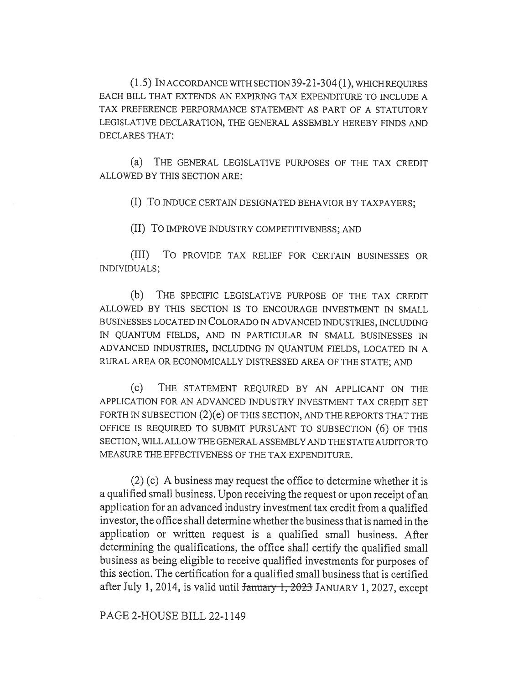(1.5) IN ACCORDANCE WITH SECTION 39-21-304(1), WHICH REQUIRES EACH BILL THAT EXTENDS AN EXPIRING TAX EXPENDITURE TO INCLUDE A TAX PREFERENCE PERFORMANCE STATEMENT AS PART OF A STATUTORY LEGISLATIVE DECLARATION, THE GENERAL ASSEMBLY HEREBY FINDS AND DECLARES THAT:

(a) THE GENERAL LEGISLATIVE PURPOSES OF THE TAX CREDIT ALLOWED BY THIS SECTION ARE:

(I) To INDUCE CERTAIN DESIGNATED BEHAVIOR BY TAXPAYERS;

(II) To IMPROVE INDUSTRY COMPETITIVENESS; AND

(III) To PROVIDE TAX RELIEF FOR CERTAIN BUSINESSES OR INDIVIDUALS;

(b) THE SPECIFIC LEGISLATIVE PURPOSE OF THE TAX CREDIT ALLOWED BY THIS SECTION IS TO ENCOURAGE INVESTMENT IN SMALL BUSINESSES LOCATED IN COLORADO IN ADVANCED INDUSTRIES, INCLUDING IN QUANTUM FIELDS, AND IN PARTICULAR IN SMALL BUSINESSES IN ADVANCED INDUSTRIES, INCLUDING IN QUANTUM FIELDS, LOCATED IN A RURAL AREA OR ECONOMICALLY DISTRESSED AREA OF THE STATE; AND

(c) THE STATEMENT REQUIRED BY AN APPLICANT ON THE APPLICATION FOR AN ADVANCED INDUSTRY INVESTMENT TAX CREDIT SET FORTH IN SUBSECTION (2)(e) OF THIS SECTION, AND THE REPORTS THAT THE OFFICE IS REQUIRED TO SUBMIT PURSUANT TO SUBSECTION (6) OF THIS SECTION, WILL ALLOW THE GENERAL ASSEMBLY AND THE STATE AUDITOR TO MEASURE THE EFFECTIVENESS OF THE TAX EXPENDITURE.

(2) (c) A business may request the office to determine whether it is a qualified small business. Upon receiving the request or upon receipt of an application for an advanced industry investment tax credit from a qualified investor, the office shall determine whether the business that is named in the application or written request is a qualified small business. After determining the qualifications, the office shall certify the qualified small business as being eligible to receive qualified investments for purposes of this section. The certification for a qualified small business that is certified after July 1, 2014, is valid until January 1, 2023 JANUARY 1, 2027, except

PAGE 2-HOUSE BILL 22-1149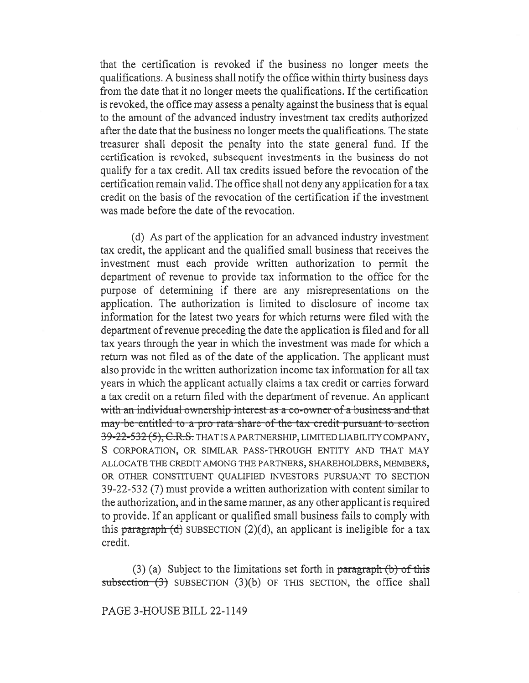that the certification is revoked if the business no longer meets the qualifications. A business shall notify the office within thirty business days from the date that it no longer meets the qualifications. If the certification is revoked, the office may assess a penalty against the business that is equal to the amount of the advanced industry investment tax credits authorized after the date that the business no longer meets the qualifications. The state treasurer shall deposit the penalty into the state general fund. If the certification is revoked, subsequent investments in the business do not qualify for a tax credit. All tax credits issued before the revocation of the certification remain valid. The office shall not deny any application for a tax credit on the basis of the revocation of the certification if the investment was made before the date of the revocation.

(d) As part of the application for an advanced industry investment tax credit, the applicant and the qualified small business that receives the investment must each provide written authorization to permit the department of revenue to provide tax information to the office for the purpose of determining if there are any misrepresentations on the application. The authorization is limited to disclosure of income tax information for the latest two years for which returns were filed with the department of revenue preceding the date the application is filed and for all tax years through the year in which the investment was made for which a return was not filed as of the date of the application. The applicant must also provide in the written authorization income tax information for all tax years in which the applicant actually claims a tax credit or carries forward a tax credit on a return filed with the department of revenue. An applicant with an individual ownership interest as a co-owner of a business and that may be-entitled to a pro-rata-share-of-the-tax-credit-pursuant-to-section 39-22-532 (5), C.R.S. THAT IS A PARTNERSHIP, LIMITED LIABILITY COMPANY, S CORPORATION, OR SIMILAR PASS-THROUGH ENTITY AND THAT MAY ALLOCATE THE CREDIT AMONG THE PARTNERS, SHAREHOLDERS, MEMBERS, OR OTHER CONSTITUENT QUALIFIED INVESTORS PURSUANT TO SECTION 39-22-532 (7) must provide a written authorization with content similar to the authorization, and in the same manner, as any other applicant is required to provide. If an applicant or qualified small business fails to comply with this paragraph  $(d)$  SUBSECTION  $(2)(d)$ , an applicant is ineligible for a tax credit.

(3) (a) Subject to the limitations set forth in paragraph  $(b)$  of this subsection  $(3)$  SUBSECTION  $(3)(b)$  OF THIS SECTION, the office shall

PAGE 3-HOUSE BILL 22-1149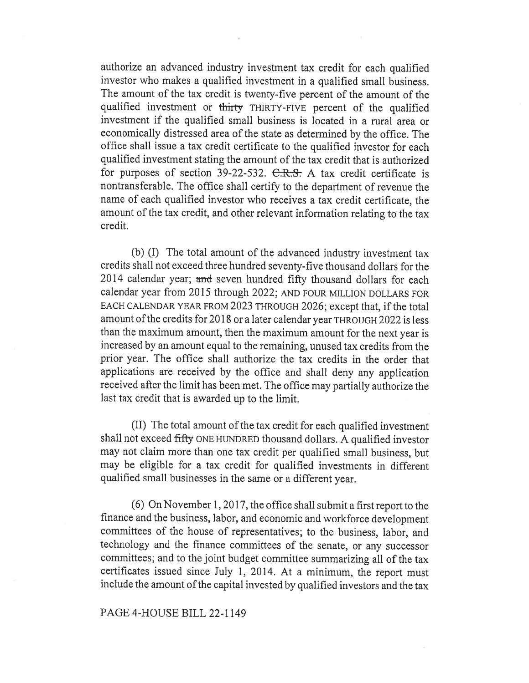authorize an advanced industry investment tax credit for each qualified investor who makes a qualified investment in a qualified small business. The amount of the tax credit is twenty-five percent of the amount of the qualified investment or thirty THIRTY-FIVE percent of the qualified investment if the qualified small business is located in a rural area or economically distressed area of the state as determined by the office. The office shall issue a tax credit certificate to the qualified investor for each qualified investment stating the amount of the tax credit that is authorized for purposes of section 39-22-532. C.R.S. A tax credit certificate is nontransferable. The office shall certify to the department of revenue the name of each qualified investor who receives a tax credit certificate, the amount of the tax credit, and other relevant information relating to the tax credit.

(b) (I) The total amount of the advanced industry investment tax credits shall not exceed three hundred seventy-five thousand dollars for the 2014 calendar year; and seven hundred fifty thousand dollars for each calendar year from 2015 through 2022; AND FOUR MILLION DOLLARS FOR EACH CALENDAR YEAR FROM 2023 THROUGH 2026; except that, if the total amount of the credits for 2018 or a later calendar year THROUGH 2022 is less than the maximum amount, then the maximum amount for the next year is increased by an amount equal to the remaining, unused tax credits from the prior year. The office shall authorize the tax credits in the order that applications are received by the office and shall deny any application received after the limit has been met. The office may partially authorize the last tax credit that is awarded up to the limit.

(II) The total amount of the tax credit for each qualified investment shall not exceed fifty ONE HUNDRED thousand dollars. A qualified investor may not claim more than one tax credit per qualified small business, but may be eligible for a tax credit for qualified investments in different qualified small businesses in the same or a different year.

(6) On November 1, 2017, the office shall submit a first report to the finance and the business, labor, and economic and workforce development committees of the house of representatives; to the business, labor, and technology and the finance committees of the senate, or any successor committees; and to the joint budget committee summarizing all of the tax certificates issued since July 1, 2014. At a minimum, the report must include the amount of the capital invested by qualified investors and the tax

## PAGE 4-HOUSE BILL 22-1149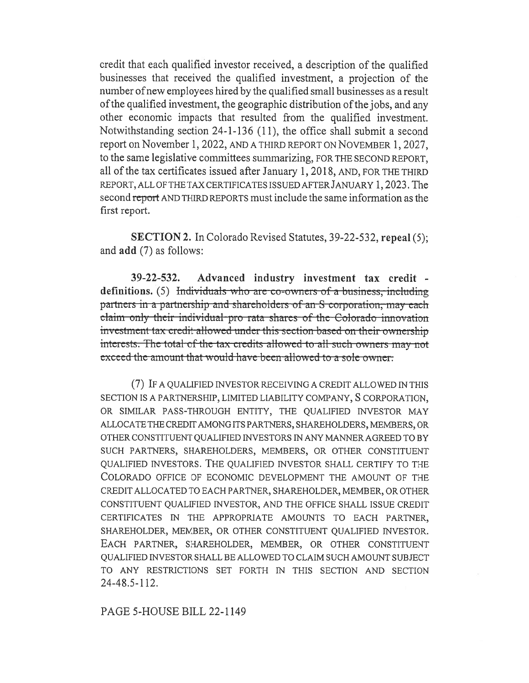credit that each qualified investor received, a description of the qualified businesses that received the qualified investment, a projection of the number of new employees hired by the qualified small businesses as a result of the qualified investment, the geographic distribution of the jobs, and any other economic impacts that resulted from the qualified investment. Notwithstanding section 24-1-136 (11), the office shall submit a second report on November 1, 2022, AND A THIRD REPORT ON NOVEMBER 1, 2027, to the same legislative committees summarizing, FOR THE SECOND REPORT, all of the tax certificates issued after January 1, 2018, AND, FOR THE THIRD REPORT, ALL OF THE TAX CERTIFICATES ISSUED AFTER JANUARY 1, 2023. The second report AND THIRD REPORTS must include the same information as the first report.

SECTION 2. In Colorado Revised Statutes, 39-22-532, repeal (5); and add (7) as follows:

39-22-532. Advanced industry investment tax credit definitions. (5) Individuals who are co-owners of a business, including partners in a partnership and shareholders of an S- corporation, may each efaim only their individual-pro-rata shares of the Colorado-innovation investment-tax-credit-allowed-under-this-section-based-on-their-ownershipinterests. The total of the tax credits allowed to all such owners may not exceed-the-amount-that-would-have-been-allowed-to-a-sole-owner-

(7) IF A QUALIFIED INVESTOR RECEIVING A CREDIT ALLOWED IN THIS SECTION IS A PARTNERSHIP, LIMITED LIABILITY COMPANY, S CORPORATION, OR SIMILAR PASS-THROUGH ENTITY, THE QUALIFIED INVESTOR MAY ALLOCATE THE CREDIT AMONG ITS PARTNERS, SHAREHOLDERS, MEMBERS, OR OTHER CONSTITUENT QUALIFIED INVESTORS IN ANY MANNER AGREED TO BY SUCH PARTNERS, SHAREHOLDERS, MEMBERS, OR OTHER CONSTITUENT QUALIFIED INVESTORS. THE QUALIFIED INVESTOR SHALL CERTIFY TO THE COLORADO OFFICE OF ECONOMIC DEVELOPMENT THE AMOUNT OF THE CREDIT ALLOCATED TO EACH PARTNER, SHAREHOLDER, MEMBER, OR OTHER CONSTITUENT QUALIFIED INVESTOR, AND THE OFFICE SHALL ISSUE CREDIT CERTIFICATES IN THE APPROPRIATE AMOUNTS TO EACH PARTNER, SHAREHOLDER, MEMBER, OR OTHER CONSTITUENT QUALIFIED INVESTOR. EACH PARTNER, SHAREHOLDER, MEMBER, OR OTHER CONSTITUENT QUALIFIED INVESTOR SHALL BE ALLOWED TO CLAIM SUCH AMOUNT SUBJECT TO ANY RESTRICTIONS SET FORTH IN THIS SECTION AND SECTION 24-48.5-112.

PAGE 5-HOUSE BILL 22-1149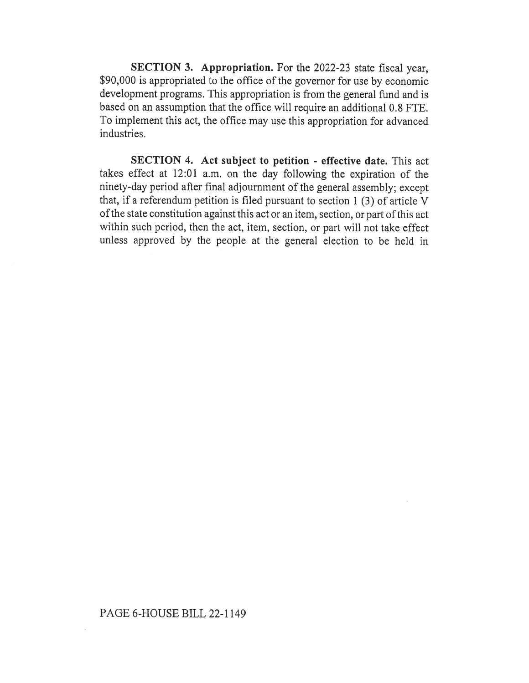SECTION 3. Appropriation. For the 2022-23 state fiscal year, \$90,000 is appropriated to the office of the governor for use by economic development programs. This appropriation is from the general fund and is based on an assumption that the office will require an additional 0.8 FTE. To implement this act, the office may use this appropriation for advanced industries.

SECTION 4. Act subject to petition - effective date. This act takes effect at 12:01 a.m. on the day following the expiration of the ninety-day period after final adjournment of the general assembly; except that, if a referendum petition is filed pursuant to section 1 (3) of article V of the state constitution against this act or an item, section, or part of this act within such period, then the act, item, section, or part will not take effect unless approved by the people at the general election to be held in

## PAGE 6-HOUSE BILL 22-1149